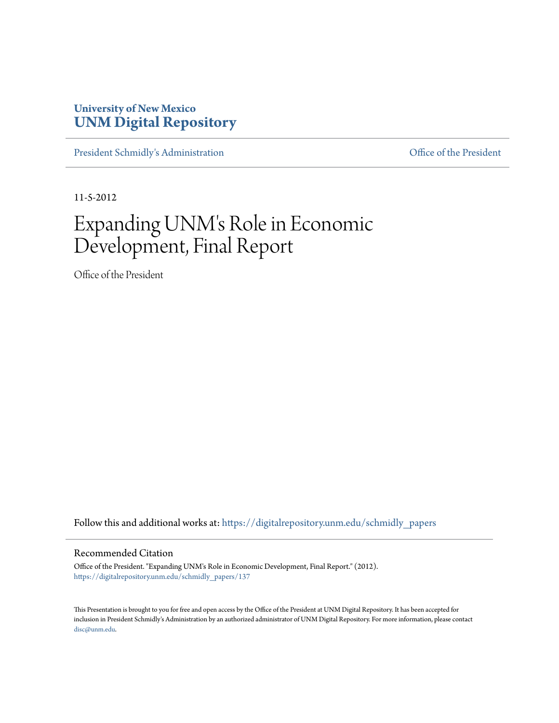#### **University of New Mexico [UNM Digital Repository](https://digitalrepository.unm.edu?utm_source=digitalrepository.unm.edu%2Fschmidly_papers%2F137&utm_medium=PDF&utm_campaign=PDFCoverPages)**

[President Schmidly's Administration](https://digitalrepository.unm.edu/schmidly_papers?utm_source=digitalrepository.unm.edu%2Fschmidly_papers%2F137&utm_medium=PDF&utm_campaign=PDFCoverPages) **Communistration** [Office of the President](https://digitalrepository.unm.edu/ofc_president?utm_source=digitalrepository.unm.edu%2Fschmidly_papers%2F137&utm_medium=PDF&utm_campaign=PDFCoverPages)

11-5-2012

## Expanding UNM's Role in Economic Development, Final Report

Office of the President

Follow this and additional works at: [https://digitalrepository.unm.edu/schmidly\\_papers](https://digitalrepository.unm.edu/schmidly_papers?utm_source=digitalrepository.unm.edu%2Fschmidly_papers%2F137&utm_medium=PDF&utm_campaign=PDFCoverPages)

#### Recommended Citation

Office of the President. "Expanding UNM's Role in Economic Development, Final Report." (2012). [https://digitalrepository.unm.edu/schmidly\\_papers/137](https://digitalrepository.unm.edu/schmidly_papers/137?utm_source=digitalrepository.unm.edu%2Fschmidly_papers%2F137&utm_medium=PDF&utm_campaign=PDFCoverPages)

This Presentation is brought to you for free and open access by the Office of the President at UNM Digital Repository. It has been accepted for inclusion in President Schmidly's Administration by an authorized administrator of UNM Digital Repository. For more information, please contact [disc@unm.edu](mailto:disc@unm.edu).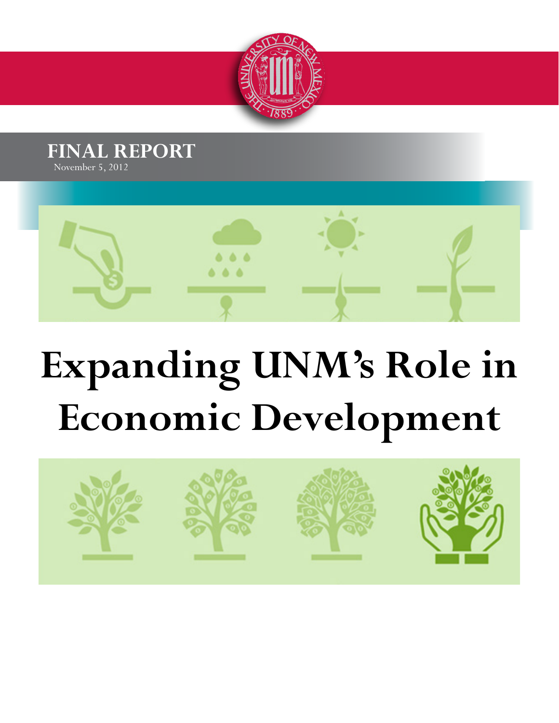





# **Expanding UNM's Role in Economic Development**

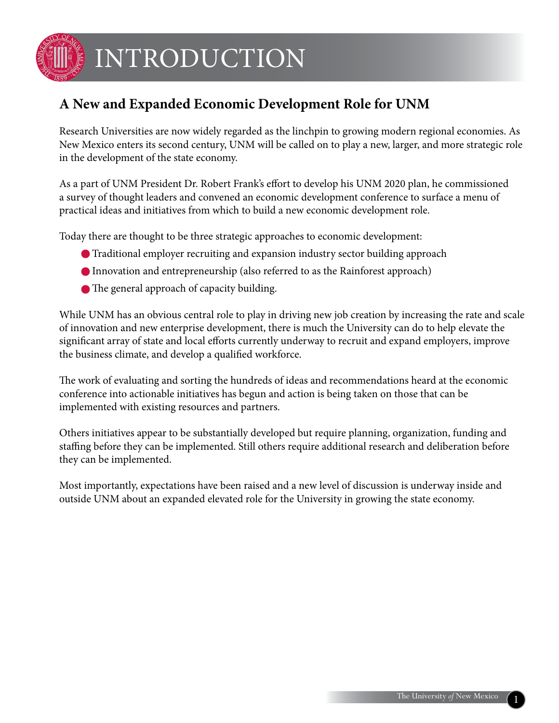

## INTRODUCTION

### **A New and Expanded Economic Development Role for UNM**

Research Universities are now widely regarded as the linchpin to growing modern regional economies. As New Mexico enters its second century, UNM will be called on to play a new, larger, and more strategic role in the development of the state economy.

As a part of UNM President Dr. Robert Frank's effort to develop his UNM 2020 plan, he commissioned a survey of thought leaders and convened an economic development conference to surface a menu of practical ideas and initiatives from which to build a new economic development role.

Today there are thought to be three strategic approaches to economic development:

- Traditional employer recruiting and expansion industry sector building approach
- Innovation and entrepreneurship (also referred to as the Rainforest approach)
- The general approach of capacity building.

While UNM has an obvious central role to play in driving new job creation by increasing the rate and scale of innovation and new enterprise development, there is much the University can do to help elevate the significant array of state and local efforts currently underway to recruit and expand employers, improve the business climate, and develop a qualified workforce.

The work of evaluating and sorting the hundreds of ideas and recommendations heard at the economic conference into actionable initiatives has begun and action is being taken on those that can be implemented with existing resources and partners.

Others initiatives appear to be substantially developed but require planning, organization, funding and staffing before they can be implemented. Still others require additional research and deliberation before they can be implemented.

Most importantly, expectations have been raised and a new level of discussion is underway inside and outside UNM about an expanded elevated role for the University in growing the state economy.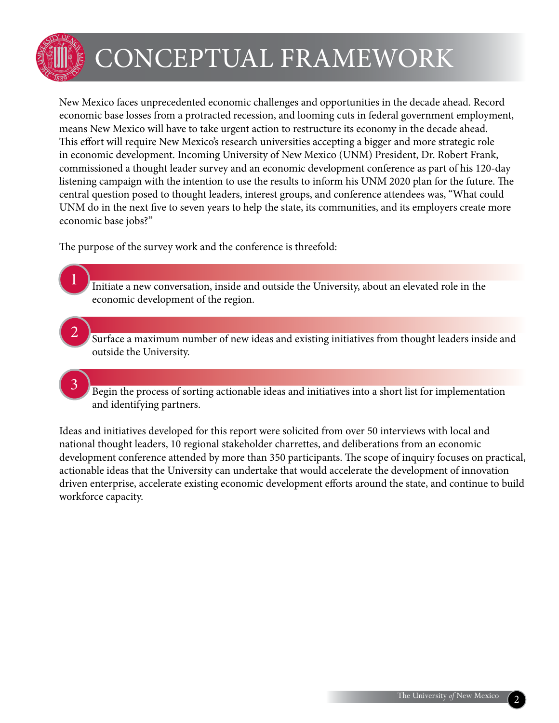

1

3

## CONCEPTUAL FRAMEWORK

New Mexico faces unprecedented economic challenges and opportunities in the decade ahead. Record economic base losses from a protracted recession, and looming cuts in federal government employment, means New Mexico will have to take urgent action to restructure its economy in the decade ahead. This effort will require New Mexico's research universities accepting a bigger and more strategic role in economic development. Incoming University of New Mexico (UNM) President, Dr. Robert Frank, commissioned a thought leader survey and an economic development conference as part of his 120-day listening campaign with the intention to use the results to inform his UNM 2020 plan for the future. The central question posed to thought leaders, interest groups, and conference attendees was, "What could UNM do in the next five to seven years to help the state, its communities, and its employers create more economic base jobs?"

The purpose of the survey work and the conference is threefold:

- Initiate a new conversation, inside and outside the University, about an elevated role in the economic development of the region.
- Surface a maximum number of new ideas and existing initiatives from thought leaders inside and outside the University. 2
	- Begin the process of sorting actionable ideas and initiatives into a short list for implementation and identifying partners.

Ideas and initiatives developed for this report were solicited from over 50 interviews with local and national thought leaders, 10 regional stakeholder charrettes, and deliberations from an economic development conference attended by more than 350 participants. The scope of inquiry focuses on practical, actionable ideas that the University can undertake that would accelerate the development of innovation driven enterprise, accelerate existing economic development efforts around the state, and continue to build workforce capacity.

2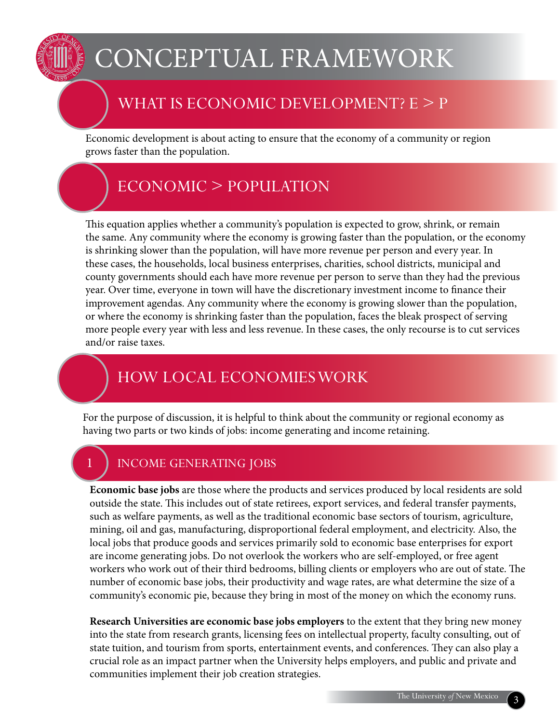## Conceptual Framework

### WHAT IS ECONOMIC DEVELOPMENT? E > P

Economic development is about acting to ensure that the economy of a community or region grows faster than the population.

### Economic > Population

This equation applies whether a community's population is expected to grow, shrink, or remain the same. Any community where the economy is growing faster than the population, or the economy is shrinking slower than the population, will have more revenue per person and every year. In these cases, the households, local business enterprises, charities, school districts, municipal and county governments should each have more revenue per person to serve than they had the previous year. Over time, everyone in town will have the discretionary investment income to finance their improvement agendas. Any community where the economy is growing slower than the population, or where the economy is shrinking faster than the population, faces the bleak prospect of serving more people every year with less and less revenue. In these cases, the only recourse is to cut services and/or raise taxes.

### How Local Economies Work

For the purpose of discussion, it is helpful to think about the community or regional economy as having two parts or two kinds of jobs: income generating and income retaining.

### INCOME GENERATING JOBS

**Economic base jobs** are those where the products and services produced by local residents are sold outside the state. This includes out of state retirees, export services, and federal transfer payments, such as welfare payments, as well as the traditional economic base sectors of tourism, agriculture, mining, oil and gas, manufacturing, disproportional federal employment, and electricity. Also, the local jobs that produce goods and services primarily sold to economic base enterprises for export are income generating jobs. Do not overlook the workers who are self-employed, or free agent workers who work out of their third bedrooms, billing clients or employers who are out of state. The number of economic base jobs, their productivity and wage rates, are what determine the size of a community's economic pie, because they bring in most of the money on which the economy runs.

**Research Universities are economic base jobs employers** to the extent that they bring new money into the state from research grants, licensing fees on intellectual property, faculty consulting, out of state tuition, and tourism from sports, entertainment events, and conferences. They can also play a crucial role as an impact partner when the University helps employers, and public and private and communities implement their job creation strategies.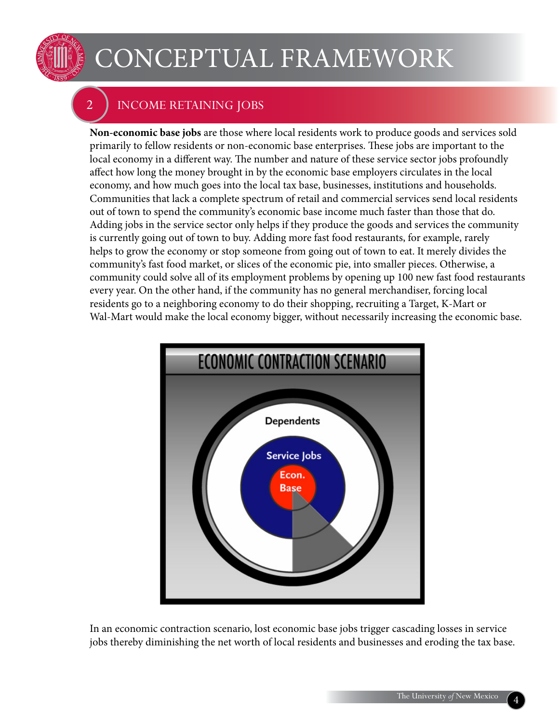

## Conceptual Framework

### 2 Income Retaining Jobs

**Non-economic base jobs** are those where local residents work to produce goods and services sold primarily to fellow residents or non-economic base enterprises. These jobs are important to the local economy in a different way. The number and nature of these service sector jobs profoundly affect how long the money brought in by the economic base employers circulates in the local economy, and how much goes into the local tax base, businesses, institutions and households. Communities that lack a complete spectrum of retail and commercial services send local residents out of town to spend the community's economic base income much faster than those that do. Adding jobs in the service sector only helps if they produce the goods and services the community is currently going out of town to buy. Adding more fast food restaurants, for example, rarely helps to grow the economy or stop someone from going out of town to eat. It merely divides the community's fast food market, or slices of the economic pie, into smaller pieces. Otherwise, a community could solve all of its employment problems by opening up 100 new fast food restaurants every year. On the other hand, if the community has no general merchandiser, forcing local residents go to a neighboring economy to do their shopping, recruiting a Target, K-Mart or Wal-Mart would make the local economy bigger, without necessarily increasing the economic base.



In an economic contraction scenario, lost economic base jobs trigger cascading losses in service jobs thereby diminishing the net worth of local residents and businesses and eroding the tax base.

4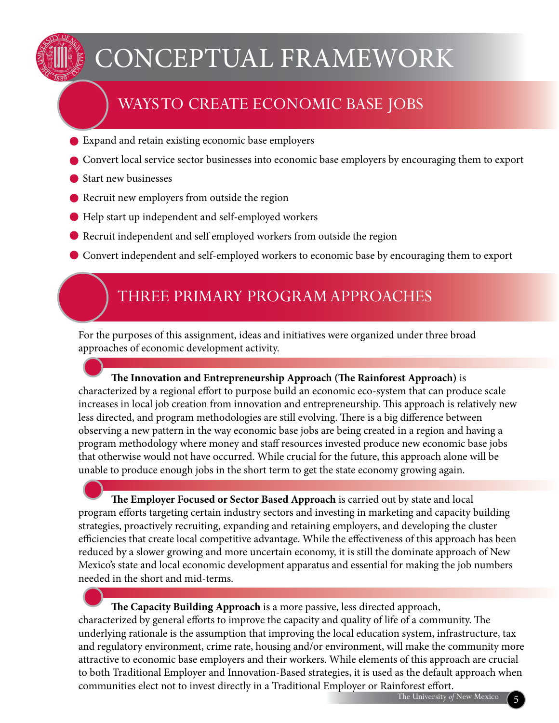

## Conceptual Framework

## Ways to Create Economic Base Jobs

- Expand and retain existing economic base employers
- **O** Convert local service sector businesses into economic base employers by encouraging them to export
- Start new businesses
- Recruit new employers from outside the region
- Help start up independent and self-employed workers
- Recruit independent and self employed workers from outside the region

Convert independent and self-employed workers to economic base by encouraging them to export

### Three Primary ProgramApproaches

For the purposes of this assignment, ideas and initiatives were organized under three broad approaches of economic development activity.

**The Innovation and Entrepreneurship Approach (The Rainforest Approach)** is characterized by a regional effort to purpose build an economic eco-system that can produce scale increases in local job creation from innovation and entrepreneurship. This approach is relatively new less directed, and program methodologies are still evolving. There is a big difference between observing a new pattern in the way economic base jobs are being created in a region and having a program methodology where money and staff resources invested produce new economic base jobs that otherwise would not have occurred. While crucial for the future, this approach alone will be unable to produce enough jobs in the short term to get the state economy growing again.

**The Employer Focused or Sector Based Approach** is carried out by state and local program efforts targeting certain industry sectors and investing in marketing and capacity building strategies, proactively recruiting, expanding and retaining employers, and developing the cluster efficiencies that create local competitive advantage. While the effectiveness of this approach has been reduced by a slower growing and more uncertain economy, it is still the dominate approach of New Mexico's state and local economic development apparatus and essential for making the job numbers needed in the short and mid-terms.

**The Capacity Building Approach** is a more passive, less directed approach, characterized by general efforts to improve the capacity and quality of life of a community. The underlying rationale is the assumption that improving the local education system, infrastructure, tax and regulatory environment, crime rate, housing and/or environment, will make the community more attractive to economic base employers and their workers. While elements of this approach are crucial to both Traditional Employer and Innovation-Based strategies, it is used as the default approach when communities elect not to invest directly in a Traditional Employer or Rainforest effort.

5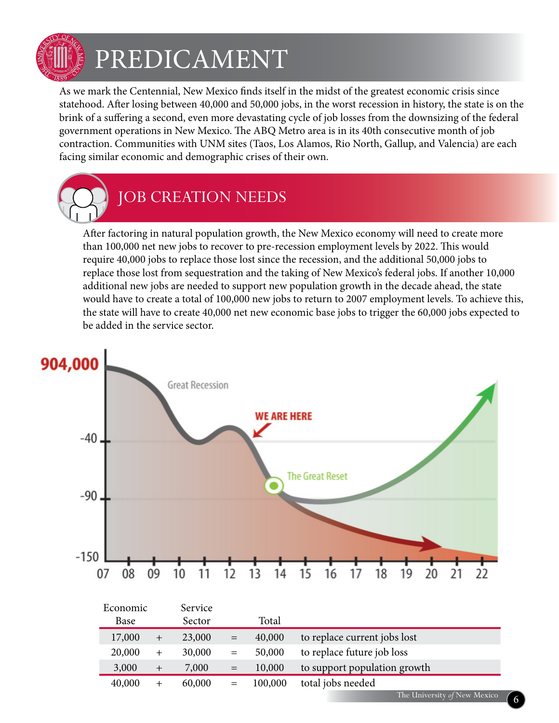

## PREDICAMENT

As we mark the Centennial, New Mexico finds itself in the midst of the greatest economic crisis since statehood. After losing between 40,000 and 50,000 jobs, in the worst recession in history, the state is on the brink of a suffering a second, even more devastating cycle of job losses from the downsizing of the federal government operations in New Mexico. The ABQ Metro area is in its 40th consecutive month of job contraction. Communities with UNM sites (Taos, Los Alamos, Rio North, Gallup, and Valencia) are each facing similar economic and demographic crises of their own.



## JOB CREATION NEEDS

After factoring in natural population growth, the New Mexico economy will need to create more than 100,000 net new jobs to recover to pre-recession employment levels by 2022. This would require 40,000 jobs to replace those lost since the recession, and the additional 50,000 jobs to replace those lost from sequestration and the taking of New Mexico's federal jobs. If another 10,000 additional new jobs are needed to support new population growth in the decade ahead, the state would have to create a total of 100,000 new jobs to return to 2007 employment levels. To achieve this, the state will have to create 40,000 net new economic base jobs to trigger the 60,000 jobs expected to be added in the service sector.



| Economic |        | Service |     |         |                              |
|----------|--------|---------|-----|---------|------------------------------|
| Base     |        | Sector  |     | Total   |                              |
| 17,000   | $^{+}$ | 23,000  | $=$ | 40,000  | to replace current jobs lost |
| 20,000   | $^{+}$ | 30,000  | $=$ | 50,000  | to replace future job loss   |
| 3,000    | $^{+}$ | 7,000   | $=$ | 10,000  | to support population growth |
| 40,000   | $^{+}$ | 60,000  | $=$ | 100,000 | total jobs needed            |
|          |        |         |     |         | The University of New Mexico |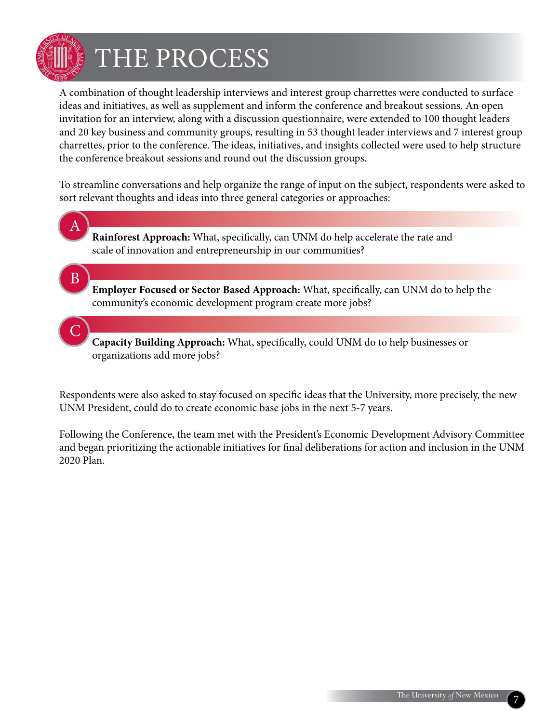

C

## The Process

A combination of thought leadership interviews and interest group charrettes were conducted to surface ideas and initiatives, as well as supplement and inform the conference and breakout sessions. An open invitation for an interview, along with a discussion questionnaire, were extended to 100 thought leaders and 20 key business and community groups, resulting in 53 thought leader interviews and 7 interest group charrettes, prior to the conference. The ideas, initiatives, and insights collected were used to help structure the conference breakout sessions and round out the discussion groups.

To streamline conversations and help organize the range of input on the subject, respondents were asked to sort relevant thoughts and ideas into three general categories or approaches:

- **Rainforest Approach:** What, specifically, can UNM do help accelerate the rate and scale of innovation and entrepreneurship in our communities? **Employer Focused or Sector Based Approach:** What, specifically, can UNM do to help the A B
	- community's economic development program create more jobs?
	- **Capacity Building Approach:** What, specifically, could UNM do to help businesses or organizations add more jobs?

Respondents were also asked to stay focused on specific ideas that the University, more precisely, the new UNM President, could do to create economic base jobs in the next 5-7 years.

Following the Conference, the team met with the President's Economic Development Advisory Committee and began prioritizing the actionable initiatives for final deliberations for action and inclusion in the UNM 2020 Plan.

7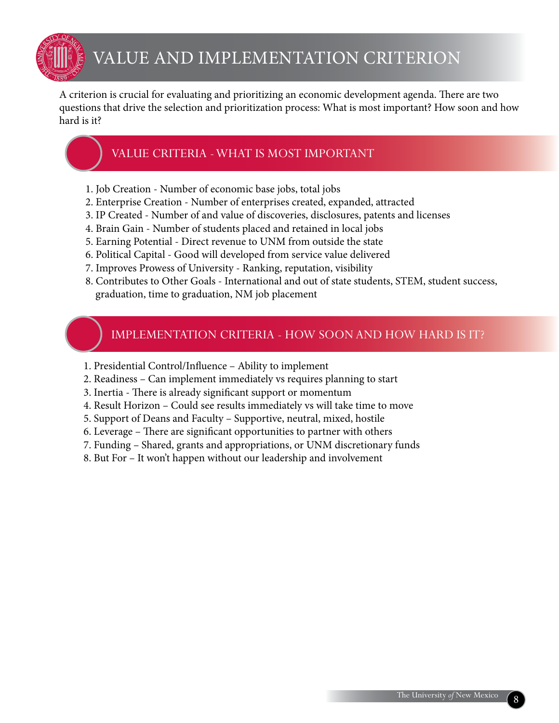

### Value and Implementation Criterion

A criterion is crucial for evaluating and prioritizing an economic development agenda. There are two questions that drive the selection and prioritization process: What is most important? How soon and how hard is it?

#### Value Criteria - What is most important

- 1. Job Creation Number of economic base jobs, total jobs
- 2. Enterprise Creation Number of enterprises created, expanded, attracted
- 3. IP Created Number of and value of discoveries, disclosures, patents and licenses
- 4. Brain Gain Number of students placed and retained in local jobs
- 5. Earning Potential Direct revenue to UNM from outside the state
- 6. Political Capital Good will developed from service value delivered
- 7. Improves Prowess of University Ranking, reputation, visibility
- 8. Contributes to Other Goals International and out of state students, STEM, student success, graduation, time to graduation, NM job placement

#### Implementation Criteria - How Soon and how hard is it?

- 1. Presidential Control/Influence Ability to implement
- 2. Readiness Can implement immediately vs requires planning to start
- 3. Inertia There is already significant support or momentum
- 4. Result Horizon Could see results immediately vs will take time to move
- 5. Support of Deans and Faculty Supportive, neutral, mixed, hostile
- 6. Leverage There are significant opportunities to partner with others
- 7. Funding Shared, grants and appropriations, or UNM discretionary funds
- 8. But For It won't happen without our leadership and involvement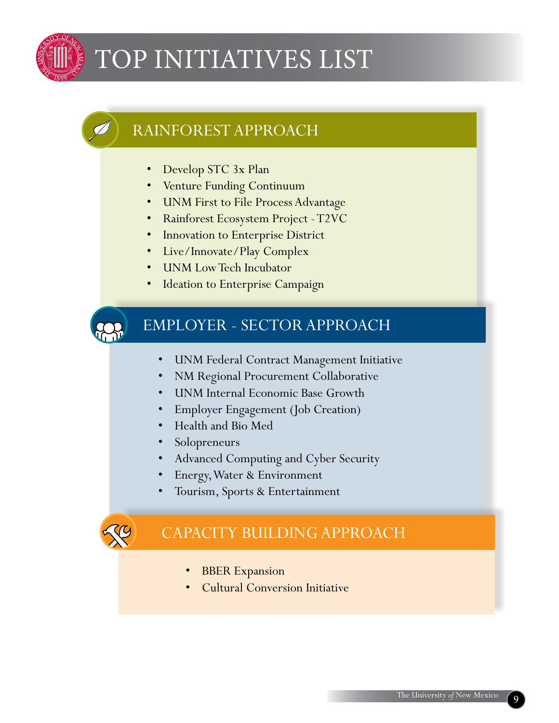

## TOP INITIATIVES LIST

### Rainforest Approach

- Develop STC 3x Plan
- • Venture Funding Continuum
- • UNM First to File Process Advantage
- • Rainforest Ecosystem Project T2VC
- Innovation to Enterprise District
- Live/Innovate/Play Complex
- **UNM Low Tech Incubator**
- **Ideation to Enterprise Campaign**



### Employer - Sector Approach

- • UNM Federal Contract Management Initiative
- **NM Regional Procurement Collaborative**
- • UNM Internal Economic Base Growth
- Employer Engagement (Job Creation)
- • Health and Bio Med
- Solopreneurs
- • Advanced Computing and Cyber Security
- **Energy, Water & Environment**
- Tourism, Sports & Entertainment



### Capacity BuildingApproach

- **BBER Expansion**
- **Cultural Conversion Initiative**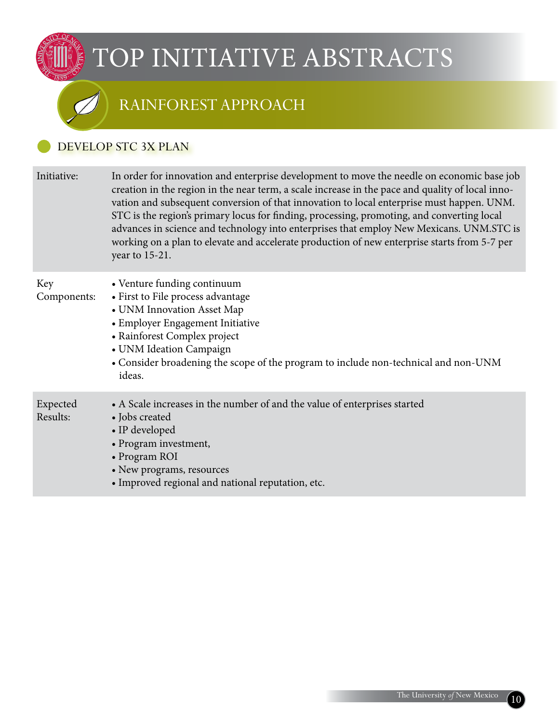### Rainforest approach

#### Develop STC 3X Plan

| Initiative:          | In order for innovation and enterprise development to move the needle on economic base job<br>creation in the region in the near term, a scale increase in the pace and quality of local inno-<br>vation and subsequent conversion of that innovation to local enterprise must happen. UNM.<br>STC is the region's primary locus for finding, processing, promoting, and converting local<br>advances in science and technology into enterprises that employ New Mexicans. UNM.STC is<br>working on a plan to elevate and accelerate production of new enterprise starts from 5-7 per<br>year to 15-21. |
|----------------------|---------------------------------------------------------------------------------------------------------------------------------------------------------------------------------------------------------------------------------------------------------------------------------------------------------------------------------------------------------------------------------------------------------------------------------------------------------------------------------------------------------------------------------------------------------------------------------------------------------|
| Key<br>Components:   | • Venture funding continuum<br>• First to File process advantage<br>• UNM Innovation Asset Map<br>• Employer Engagement Initiative<br>• Rainforest Complex project<br>• UNM Ideation Campaign<br>• Consider broadening the scope of the program to include non-technical and non-UNM<br>ideas.                                                                                                                                                                                                                                                                                                          |
| Expected<br>Results: | • A Scale increases in the number of and the value of enterprises started<br>• Jobs created<br>• IP developed<br>• Program investment,<br>• Program ROI<br>• New programs, resources<br>• Improved regional and national reputation, etc.                                                                                                                                                                                                                                                                                                                                                               |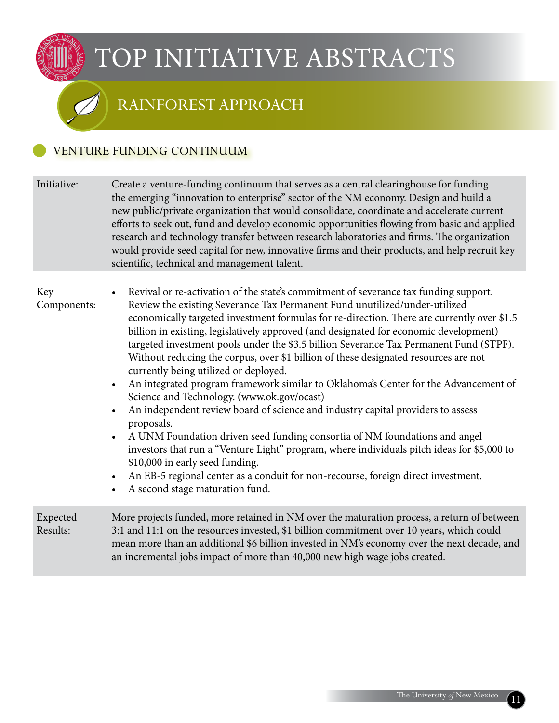### Rainforest approach

#### Venture Funding Continuum

Initiative: Create a venture-funding continuum that serves as a central clearinghouse for funding the emerging "innovation to enterprise" sector of the NM economy. Design and build a new public/private organization that would consolidate, coordinate and accelerate current efforts to seek out, fund and develop economic opportunities flowing from basic and applied research and technology transfer between research laboratories and firms. The organization would provide seed capital for new, innovative firms and their products, and help recruit key scientific, technical and management talent.

#### Key Components:

- Revival or re-activation of the state's commitment of severance tax funding support. Review the existing Severance Tax Permanent Fund unutilized/under-utilized economically targeted investment formulas for re-direction. There are currently over \$1.5 billion in existing, legislatively approved (and designated for economic development) targeted investment pools under the \$3.5 billion Severance Tax Permanent Fund (STPF). Without reducing the corpus, over \$1 billion of these designated resources are not currently being utilized or deployed.
	- An integrated program framework similar to Oklahoma's Center for the Advancement of Science and Technology. (www.ok.gov/ocast)
	- An independent review board of science and industry capital providers to assess proposals.
	- A UNM Foundation driven seed funding consortia of NM foundations and angel investors that run a "Venture Light" program, where individuals pitch ideas for \$5,000 to \$10,000 in early seed funding.
	- An EB-5 regional center as a conduit for non-recourse, foreign direct investment.
	- A second stage maturation fund.

Expected Results: More projects funded, more retained in NM over the maturation process, a return of between 3:1 and 11:1 on the resources invested, \$1 billion commitment over 10 years, which could mean more than an additional \$6 billion invested in NM's economy over the next decade, and an incremental jobs impact of more than 40,000 new high wage jobs created.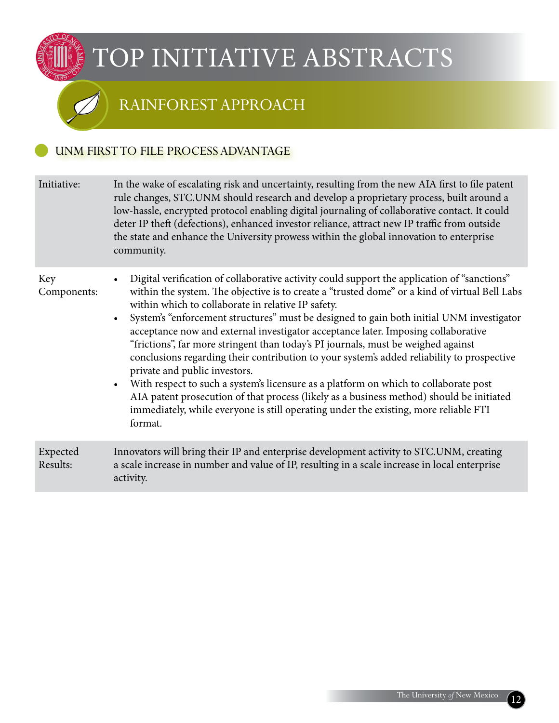### Rainforest approach

#### UNM FIRST TO FILE PROCESS ADVANTAGE

| Initiative:          | In the wake of escalating risk and uncertainty, resulting from the new AIA first to file patent<br>rule changes, STC.UNM should research and develop a proprietary process, built around a<br>low-hassle, encrypted protocol enabling digital journaling of collaborative contact. It could<br>deter IP theft (defections), enhanced investor reliance, attract new IP traffic from outside<br>the state and enhance the University prowess within the global innovation to enterprise<br>community.                                                                                                                                                                                                                                                                                                                                                                                                                                                                     |
|----------------------|--------------------------------------------------------------------------------------------------------------------------------------------------------------------------------------------------------------------------------------------------------------------------------------------------------------------------------------------------------------------------------------------------------------------------------------------------------------------------------------------------------------------------------------------------------------------------------------------------------------------------------------------------------------------------------------------------------------------------------------------------------------------------------------------------------------------------------------------------------------------------------------------------------------------------------------------------------------------------|
| Key<br>Components:   | Digital verification of collaborative activity could support the application of "sanctions"<br>within the system. The objective is to create a "trusted dome" or a kind of virtual Bell Labs<br>within which to collaborate in relative IP safety.<br>System's "enforcement structures" must be designed to gain both initial UNM investigator<br>$\bullet$<br>acceptance now and external investigator acceptance later. Imposing collaborative<br>"frictions", far more stringent than today's PI journals, must be weighed against<br>conclusions regarding their contribution to your system's added reliability to prospective<br>private and public investors.<br>With respect to such a system's licensure as a platform on which to collaborate post<br>$\bullet$<br>AIA patent prosecution of that process (likely as a business method) should be initiated<br>immediately, while everyone is still operating under the existing, more reliable FTI<br>format. |
| Expected<br>Results: | Innovators will bring their IP and enterprise development activity to STC.UNM, creating<br>a scale increase in number and value of IP, resulting in a scale increase in local enterprise<br>activity.                                                                                                                                                                                                                                                                                                                                                                                                                                                                                                                                                                                                                                                                                                                                                                    |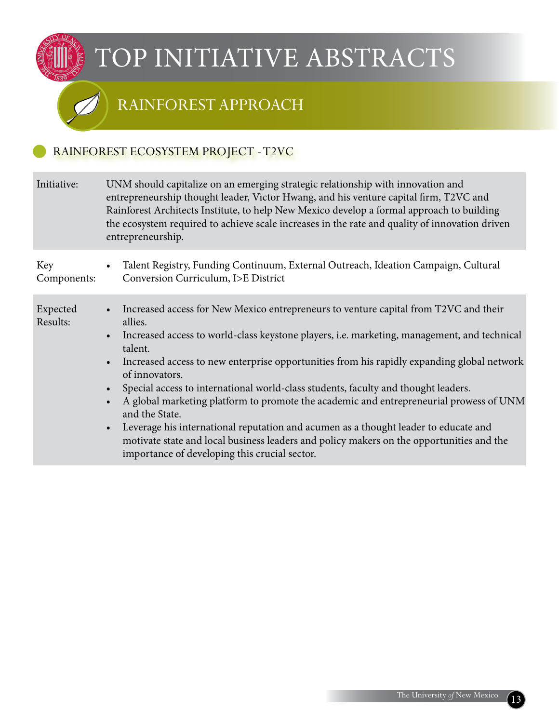### Rainforest approach

#### RAINFOREST ECOSYSTEM PROJECT - T2VC

| Initiative:          | UNM should capitalize on an emerging strategic relationship with innovation and<br>entrepreneurship thought leader, Victor Hwang, and his venture capital firm, T2VC and<br>Rainforest Architects Institute, to help New Mexico develop a formal approach to building<br>the ecosystem required to achieve scale increases in the rate and quality of innovation driven<br>entrepreneurship.                                                                                                                                                                                                                                                                                                                                                                                                                          |
|----------------------|-----------------------------------------------------------------------------------------------------------------------------------------------------------------------------------------------------------------------------------------------------------------------------------------------------------------------------------------------------------------------------------------------------------------------------------------------------------------------------------------------------------------------------------------------------------------------------------------------------------------------------------------------------------------------------------------------------------------------------------------------------------------------------------------------------------------------|
| Key<br>Components:   | • Talent Registry, Funding Continuum, External Outreach, Ideation Campaign, Cultural<br>Conversion Curriculum, I>E District                                                                                                                                                                                                                                                                                                                                                                                                                                                                                                                                                                                                                                                                                           |
| Expected<br>Results: | • Increased access for New Mexico entrepreneurs to venture capital from T2VC and their<br>allies.<br>Increased access to world-class keystone players, i.e. marketing, management, and technical<br>$\bullet$<br>talent.<br>Increased access to new enterprise opportunities from his rapidly expanding global network<br>$\bullet$<br>of innovators.<br>Special access to international world-class students, faculty and thought leaders.<br>$\bullet$<br>A global marketing platform to promote the academic and entrepreneurial prowess of UNM<br>and the State.<br>Leverage his international reputation and acumen as a thought leader to educate and<br>$\bullet$<br>motivate state and local business leaders and policy makers on the opportunities and the<br>importance of developing this crucial sector. |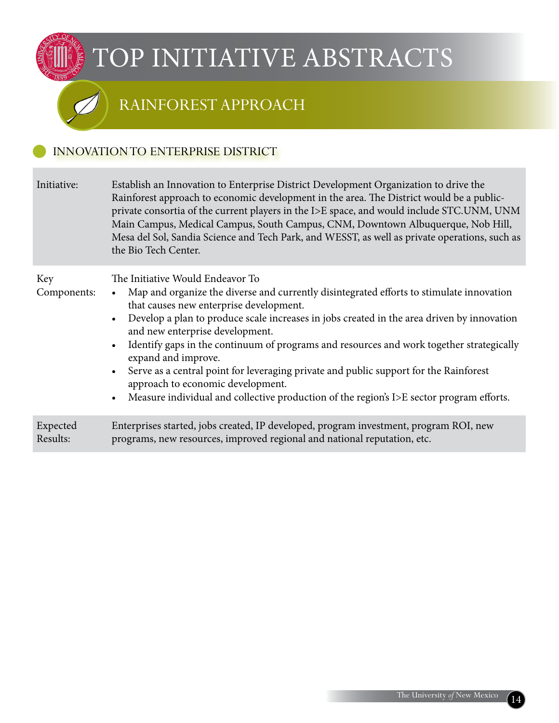### Rainforest approach

#### Innovationto enterprise district

| Initiative:          | Establish an Innovation to Enterprise District Development Organization to drive the<br>Rainforest approach to economic development in the area. The District would be a public-<br>private consortia of the current players in the I>E space, and would include STC.UNM, UNM<br>Main Campus, Medical Campus, South Campus, CNM, Downtown Albuquerque, Nob Hill,<br>Mesa del Sol, Sandia Science and Tech Park, and WESST, as well as private operations, such as<br>the Bio Tech Center.                                                                                                                                                                                                                              |
|----------------------|------------------------------------------------------------------------------------------------------------------------------------------------------------------------------------------------------------------------------------------------------------------------------------------------------------------------------------------------------------------------------------------------------------------------------------------------------------------------------------------------------------------------------------------------------------------------------------------------------------------------------------------------------------------------------------------------------------------------|
| Key<br>Components:   | The Initiative Would Endeavor To<br>Map and organize the diverse and currently disintegrated efforts to stimulate innovation<br>$\bullet$<br>that causes new enterprise development.<br>Develop a plan to produce scale increases in jobs created in the area driven by innovation<br>$\bullet$<br>and new enterprise development.<br>Identify gaps in the continuum of programs and resources and work together strategically<br>$\bullet$<br>expand and improve.<br>Serve as a central point for leveraging private and public support for the Rainforest<br>$\bullet$<br>approach to economic development.<br>Measure individual and collective production of the region's I>E sector program efforts.<br>$\bullet$ |
| Expected<br>Results: | Enterprises started, jobs created, IP developed, program investment, program ROI, new<br>programs, new resources, improved regional and national reputation, etc.                                                                                                                                                                                                                                                                                                                                                                                                                                                                                                                                                      |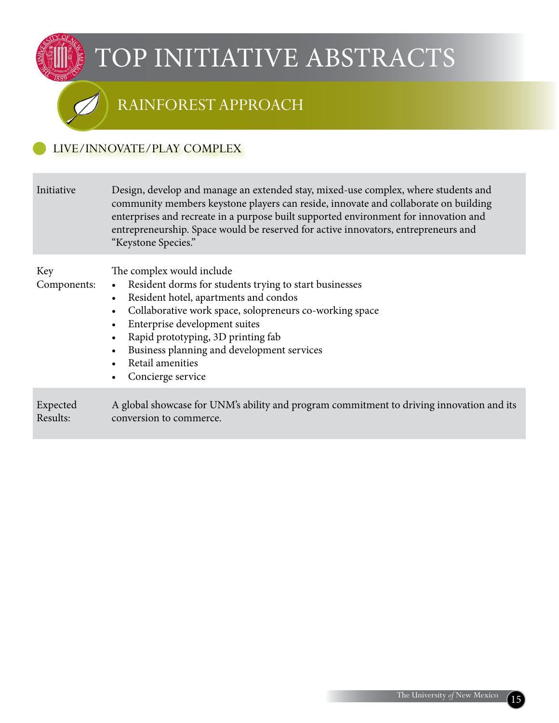### Rainforest approach

#### Live/innovate/play Complex

| Initiative           | Design, develop and manage an extended stay, mixed-use complex, where students and<br>community members keystone players can reside, innovate and collaborate on building<br>enterprises and recreate in a purpose built supported environment for innovation and<br>entrepreneurship. Space would be reserved for active innovators, entrepreneurs and<br>"Keystone Species."                                                      |
|----------------------|-------------------------------------------------------------------------------------------------------------------------------------------------------------------------------------------------------------------------------------------------------------------------------------------------------------------------------------------------------------------------------------------------------------------------------------|
| Key<br>Components:   | The complex would include<br>Resident dorms for students trying to start businesses<br>$\bullet$<br>Resident hotel, apartments and condos<br>$\bullet$<br>Collaborative work space, solopreneurs co-working space<br>$\bullet$<br>Enterprise development suites<br>$\bullet$<br>Rapid prototyping, 3D printing fab<br>$\bullet$<br>Business planning and development services<br>$\bullet$<br>Retail amenities<br>Concierge service |
| Expected<br>Results: | A global showcase for UNM's ability and program commitment to driving innovation and its<br>conversion to commerce.                                                                                                                                                                                                                                                                                                                 |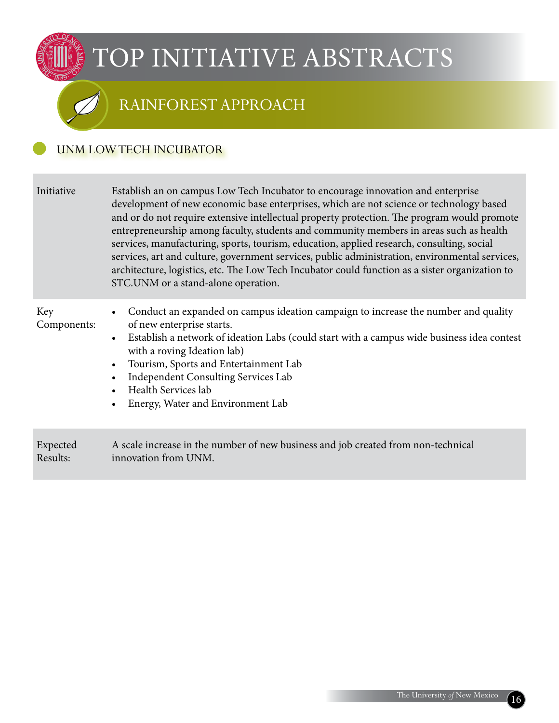## Rainforest approach

#### UNM Low Tech Incubator

| Initiative           | Establish an on campus Low Tech Incubator to encourage innovation and enterprise<br>development of new economic base enterprises, which are not science or technology based<br>and or do not require extensive intellectual property protection. The program would promote<br>entrepreneurship among faculty, students and community members in areas such as health<br>services, manufacturing, sports, tourism, education, applied research, consulting, social<br>services, art and culture, government services, public administration, environmental services,<br>architecture, logistics, etc. The Low Tech Incubator could function as a sister organization to<br>STC.UNM or a stand-alone operation. |
|----------------------|---------------------------------------------------------------------------------------------------------------------------------------------------------------------------------------------------------------------------------------------------------------------------------------------------------------------------------------------------------------------------------------------------------------------------------------------------------------------------------------------------------------------------------------------------------------------------------------------------------------------------------------------------------------------------------------------------------------|
| Key<br>Components:   | Conduct an expanded on campus ideation campaign to increase the number and quality<br>$\bullet$<br>of new enterprise starts.<br>Establish a network of ideation Labs (could start with a campus wide business idea contest<br>$\bullet$<br>with a roving Ideation lab)<br>Tourism, Sports and Entertainment Lab<br>$\bullet$<br>Independent Consulting Services Lab<br>$\bullet$<br>Health Services lab<br>Energy, Water and Environment Lab<br>$\bullet$                                                                                                                                                                                                                                                     |
| Expected<br>Results: | A scale increase in the number of new business and job created from non-technical<br>innovation from UNM.                                                                                                                                                                                                                                                                                                                                                                                                                                                                                                                                                                                                     |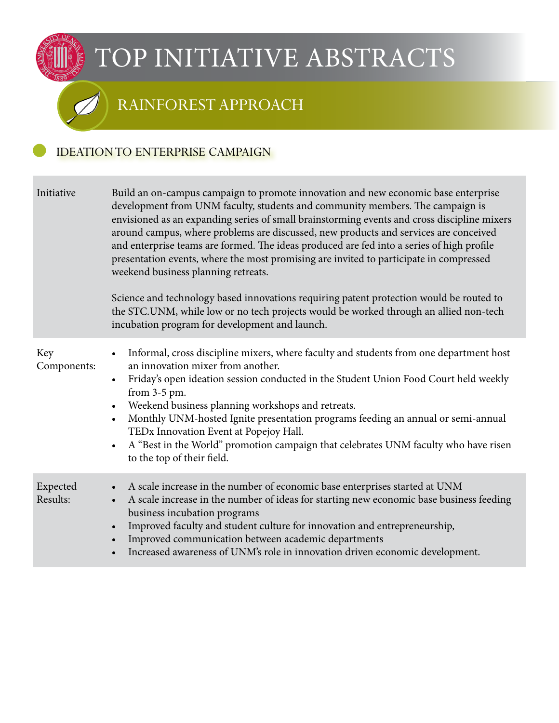### Rainforest approach

#### Ideationto Enterprise Campaign

| Initiative           | Build an on-campus campaign to promote innovation and new economic base enterprise<br>development from UNM faculty, students and community members. The campaign is<br>envisioned as an expanding series of small brainstorming events and cross discipline mixers<br>around campus, where problems are discussed, new products and services are conceived<br>and enterprise teams are formed. The ideas produced are fed into a series of high profile<br>presentation events, where the most promising are invited to participate in compressed<br>weekend business planning retreats.<br>Science and technology based innovations requiring patent protection would be routed to<br>the STC.UNM, while low or no tech projects would be worked through an allied non-tech<br>incubation program for development and launch. |
|----------------------|--------------------------------------------------------------------------------------------------------------------------------------------------------------------------------------------------------------------------------------------------------------------------------------------------------------------------------------------------------------------------------------------------------------------------------------------------------------------------------------------------------------------------------------------------------------------------------------------------------------------------------------------------------------------------------------------------------------------------------------------------------------------------------------------------------------------------------|
| Key<br>Components:   | Informal, cross discipline mixers, where faculty and students from one department host<br>$\bullet$<br>an innovation mixer from another.<br>Friday's open ideation session conducted in the Student Union Food Court held weekly<br>$\bullet$<br>from 3-5 pm.<br>Weekend business planning workshops and retreats.<br>$\bullet$<br>Monthly UNM-hosted Ignite presentation programs feeding an annual or semi-annual<br>$\bullet$<br>TEDx Innovation Event at Popejoy Hall.<br>A "Best in the World" promotion campaign that celebrates UNM faculty who have risen<br>$\bullet$<br>to the top of their field.                                                                                                                                                                                                                   |
| Expected<br>Results: | A scale increase in the number of economic base enterprises started at UNM<br>$\bullet$<br>A scale increase in the number of ideas for starting new economic base business feeding<br>$\bullet$<br>business incubation programs<br>Improved faculty and student culture for innovation and entrepreneurship,<br>$\bullet$<br>Improved communication between academic departments<br>$\bullet$<br>Increased awareness of UNM's role in innovation driven economic development.<br>$\bullet$                                                                                                                                                                                                                                                                                                                                     |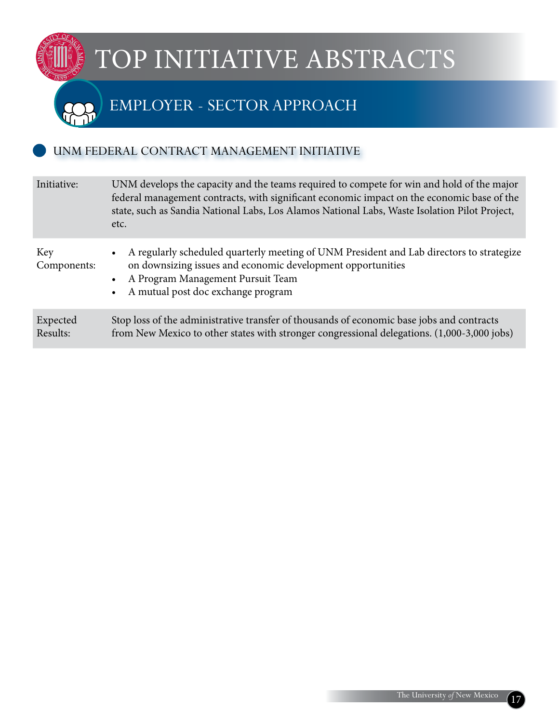### Employer - sector approach

#### UNM FEDERAL CONTRACT MANAGEMENT INITIATIVE

| Initiative:          | UNM develops the capacity and the teams required to compete for win and hold of the major<br>federal management contracts, with significant economic impact on the economic base of the<br>state, such as Sandia National Labs, Los Alamos National Labs, Waste Isolation Pilot Project,<br>etc. |  |
|----------------------|--------------------------------------------------------------------------------------------------------------------------------------------------------------------------------------------------------------------------------------------------------------------------------------------------|--|
| Key<br>Components:   | A regularly scheduled quarterly meeting of UNM President and Lab directors to strategize<br>on downsizing issues and economic development opportunities<br>A Program Management Pursuit Team<br>A mutual post doc exchange program                                                               |  |
| Expected<br>Results: | Stop loss of the administrative transfer of thousands of economic base jobs and contracts<br>from New Mexico to other states with stronger congressional delegations. (1,000-3,000 jobs)                                                                                                         |  |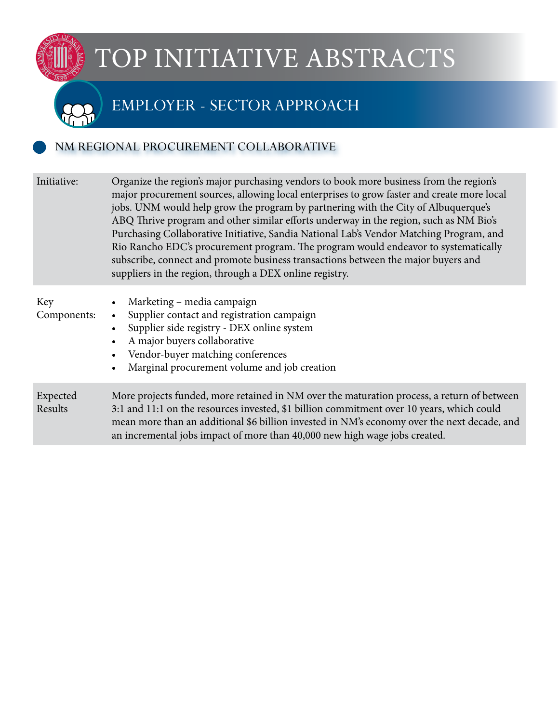### Employer - sector approach

#### NM REGIONAL PROCUREMENT COLLABORATIVE

| Initiative:         | Organize the region's major purchasing vendors to book more business from the region's<br>major procurement sources, allowing local enterprises to grow faster and create more local<br>jobs. UNM would help grow the program by partnering with the City of Albuquerque's<br>ABQ Thrive program and other similar efforts underway in the region, such as NM Bio's<br>Purchasing Collaborative Initiative, Sandia National Lab's Vendor Matching Program, and<br>Rio Rancho EDC's procurement program. The program would endeavor to systematically<br>subscribe, connect and promote business transactions between the major buyers and<br>suppliers in the region, through a DEX online registry. |
|---------------------|------------------------------------------------------------------------------------------------------------------------------------------------------------------------------------------------------------------------------------------------------------------------------------------------------------------------------------------------------------------------------------------------------------------------------------------------------------------------------------------------------------------------------------------------------------------------------------------------------------------------------------------------------------------------------------------------------|
| Key<br>Components:  | Marketing – media campaign<br>$\bullet$<br>Supplier contact and registration campaign<br>$\bullet$<br>Supplier side registry - DEX online system<br>$\bullet$<br>A major buyers collaborative<br>$\bullet$<br>Vendor-buyer matching conferences<br>$\bullet$<br>Marginal procurement volume and job creation<br>$\bullet$                                                                                                                                                                                                                                                                                                                                                                            |
| Expected<br>Results | More projects funded, more retained in NM over the maturation process, a return of between<br>3:1 and 11:1 on the resources invested, \$1 billion commitment over 10 years, which could<br>mean more than an additional \$6 billion invested in NM's economy over the next decade, and<br>an incremental jobs impact of more than 40,000 new high wage jobs created.                                                                                                                                                                                                                                                                                                                                 |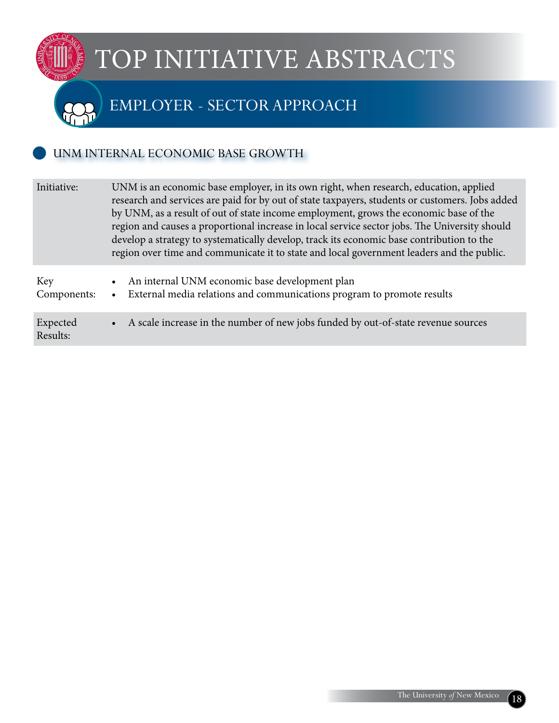### Employer - sector approach

#### UNM INTERNAL ECONOMIC BASE GROWTH

| Initiative:          | UNM is an economic base employer, in its own right, when research, education, applied<br>research and services are paid for by out of state taxpayers, students or customers. Jobs added<br>by UNM, as a result of out of state income employment, grows the economic base of the<br>region and causes a proportional increase in local service sector jobs. The University should<br>develop a strategy to systematically develop, track its economic base contribution to the<br>region over time and communicate it to state and local government leaders and the public. |  |
|----------------------|------------------------------------------------------------------------------------------------------------------------------------------------------------------------------------------------------------------------------------------------------------------------------------------------------------------------------------------------------------------------------------------------------------------------------------------------------------------------------------------------------------------------------------------------------------------------------|--|
| Key<br>Components:   | An internal UNM economic base development plan<br>$\bullet$<br>External media relations and communications program to promote results<br>$\bullet$                                                                                                                                                                                                                                                                                                                                                                                                                           |  |
| Expected<br>Results: | • A scale increase in the number of new jobs funded by out-of-state revenue sources                                                                                                                                                                                                                                                                                                                                                                                                                                                                                          |  |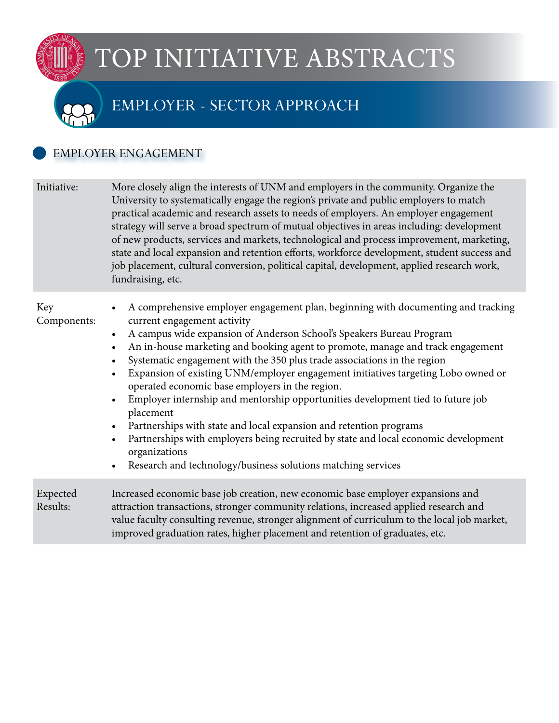### Employer - sector approach

#### EMPLOYER ENGAGEMENT

| Initiative:          | More closely align the interests of UNM and employers in the community. Organize the<br>University to systematically engage the region's private and public employers to match<br>practical academic and research assets to needs of employers. An employer engagement<br>strategy will serve a broad spectrum of mutual objectives in areas including: development<br>of new products, services and markets, technological and process improvement, marketing,<br>state and local expansion and retention efforts, workforce development, student success and<br>job placement, cultural conversion, political capital, development, applied research work,<br>fundraising, etc.                                                                                                                                                                                                                                                                                  |
|----------------------|--------------------------------------------------------------------------------------------------------------------------------------------------------------------------------------------------------------------------------------------------------------------------------------------------------------------------------------------------------------------------------------------------------------------------------------------------------------------------------------------------------------------------------------------------------------------------------------------------------------------------------------------------------------------------------------------------------------------------------------------------------------------------------------------------------------------------------------------------------------------------------------------------------------------------------------------------------------------|
| Key<br>Components:   | A comprehensive employer engagement plan, beginning with documenting and tracking<br>$\bullet$<br>current engagement activity<br>A campus wide expansion of Anderson School's Speakers Bureau Program<br>$\bullet$<br>An in-house marketing and booking agent to promote, manage and track engagement<br>$\bullet$<br>Systematic engagement with the 350 plus trade associations in the region<br>$\bullet$<br>Expansion of existing UNM/employer engagement initiatives targeting Lobo owned or<br>$\bullet$<br>operated economic base employers in the region.<br>Employer internship and mentorship opportunities development tied to future job<br>$\bullet$<br>placement<br>Partnerships with state and local expansion and retention programs<br>$\bullet$<br>Partnerships with employers being recruited by state and local economic development<br>$\bullet$<br>organizations<br>Research and technology/business solutions matching services<br>$\bullet$ |
| Expected<br>Results: | Increased economic base job creation, new economic base employer expansions and<br>attraction transactions, stronger community relations, increased applied research and<br>value faculty consulting revenue, stronger alignment of curriculum to the local job market,<br>improved graduation rates, higher placement and retention of graduates, etc.                                                                                                                                                                                                                                                                                                                                                                                                                                                                                                                                                                                                            |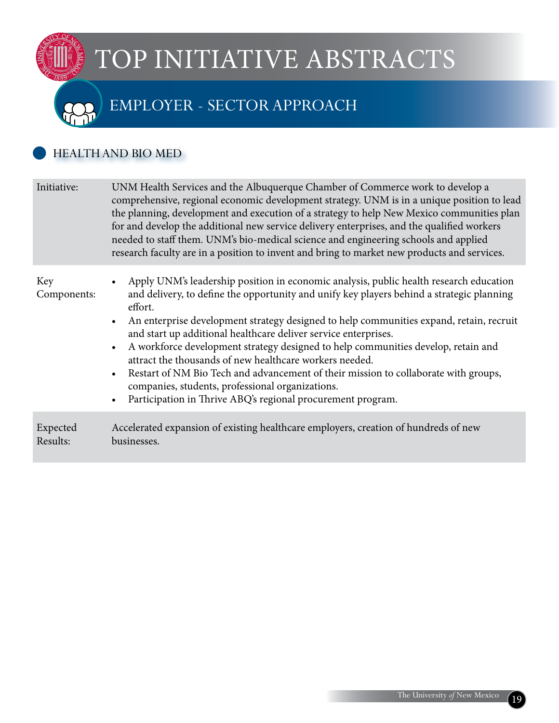### Employer - sector approach

#### HEALTHAND BIO MED

IMAL

| Initiative:          | UNM Health Services and the Albuquerque Chamber of Commerce work to develop a<br>comprehensive, regional economic development strategy. UNM is in a unique position to lead<br>the planning, development and execution of a strategy to help New Mexico communities plan<br>for and develop the additional new service delivery enterprises, and the qualified workers<br>needed to staff them. UNM's bio-medical science and engineering schools and applied<br>research faculty are in a position to invent and bring to market new products and services.                                                                                                                                                                                                                            |  |
|----------------------|-----------------------------------------------------------------------------------------------------------------------------------------------------------------------------------------------------------------------------------------------------------------------------------------------------------------------------------------------------------------------------------------------------------------------------------------------------------------------------------------------------------------------------------------------------------------------------------------------------------------------------------------------------------------------------------------------------------------------------------------------------------------------------------------|--|
| Key<br>Components:   | Apply UNM's leadership position in economic analysis, public health research education<br>$\bullet$<br>and delivery, to define the opportunity and unify key players behind a strategic planning<br>effort.<br>An enterprise development strategy designed to help communities expand, retain, recruit<br>$\bullet$<br>and start up additional healthcare deliver service enterprises.<br>A workforce development strategy designed to help communities develop, retain and<br>$\bullet$<br>attract the thousands of new healthcare workers needed.<br>Restart of NM Bio Tech and advancement of their mission to collaborate with groups,<br>$\bullet$<br>companies, students, professional organizations.<br>Participation in Thrive ABQ's regional procurement program.<br>$\bullet$ |  |
| Expected<br>Results: | Accelerated expansion of existing healthcare employers, creation of hundreds of new<br>businesses.                                                                                                                                                                                                                                                                                                                                                                                                                                                                                                                                                                                                                                                                                      |  |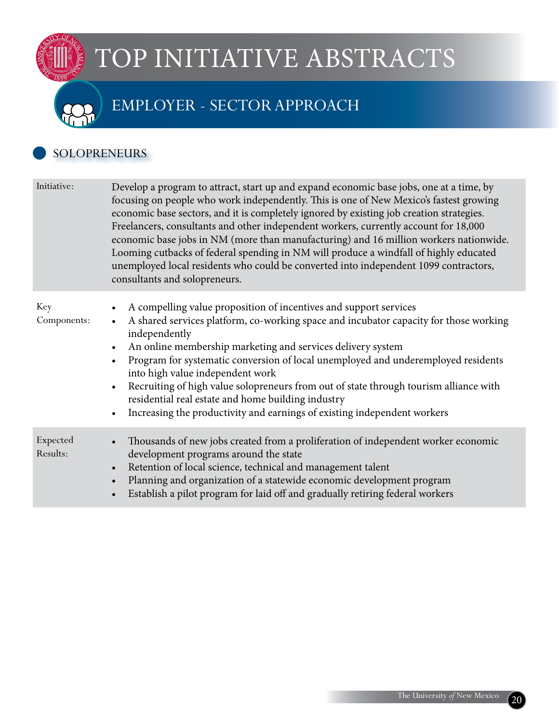### Employer - sector approach

#### **SOLOPRENEURS**

 $\mathbb{E}$ 

| Initiative:          | Develop a program to attract, start up and expand economic base jobs, one at a time, by<br>focusing on people who work independently. This is one of New Mexico's fastest growing<br>economic base sectors, and it is completely ignored by existing job creation strategies.<br>Freelancers, consultants and other independent workers, currently account for 18,000<br>economic base jobs in NM (more than manufacturing) and 16 million workers nationwide.<br>Looming cutbacks of federal spending in NM will produce a windfall of highly educated<br>unemployed local residents who could be converted into independent 1099 contractors,<br>consultants and solopreneurs. |
|----------------------|----------------------------------------------------------------------------------------------------------------------------------------------------------------------------------------------------------------------------------------------------------------------------------------------------------------------------------------------------------------------------------------------------------------------------------------------------------------------------------------------------------------------------------------------------------------------------------------------------------------------------------------------------------------------------------|
| Key<br>Components:   | A compelling value proposition of incentives and support services<br>$\bullet$<br>A shared services platform, co-working space and incubator capacity for those working<br>$\bullet$<br>independently<br>An online membership marketing and services delivery system<br>$\bullet$<br>Program for systematic conversion of local unemployed and underemployed residents<br>$\bullet$<br>into high value independent work<br>Recruiting of high value solopreneurs from out of state through tourism alliance with<br>$\bullet$<br>residential real estate and home building industry<br>Increasing the productivity and earnings of existing independent workers<br>$\bullet$     |
| Expected<br>Results: | Thousands of new jobs created from a proliferation of independent worker economic<br>$\bullet$<br>development programs around the state<br>Retention of local science, technical and management talent<br>$\bullet$<br>Planning and organization of a statewide economic development program<br>$\bullet$<br>Establish a pilot program for laid off and gradually retiring federal workers<br>$\bullet$                                                                                                                                                                                                                                                                          |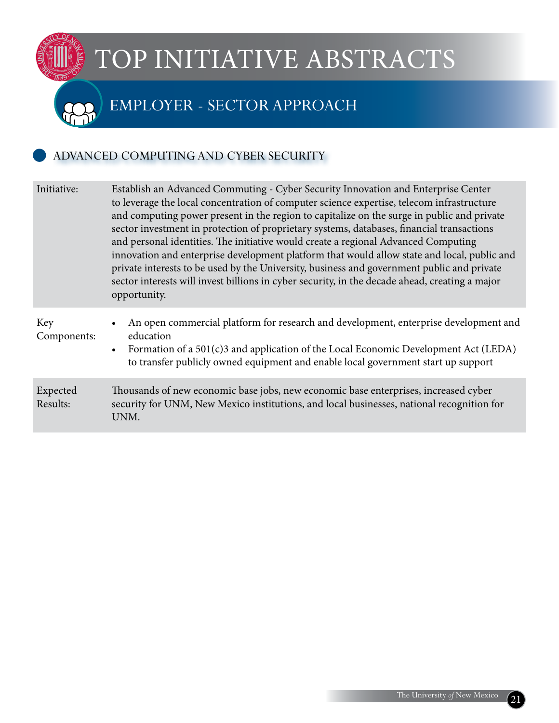### Employer - sector approach

#### ADVANCED COMPUTING AND CYBER SECURITY

 $\mathbb{E}$ 

| Initiative:          | Establish an Advanced Commuting - Cyber Security Innovation and Enterprise Center<br>to leverage the local concentration of computer science expertise, telecom infrastructure<br>and computing power present in the region to capitalize on the surge in public and private<br>sector investment in protection of proprietary systems, databases, financial transactions<br>and personal identities. The initiative would create a regional Advanced Computing<br>innovation and enterprise development platform that would allow state and local, public and<br>private interests to be used by the University, business and government public and private<br>sector interests will invest billions in cyber security, in the decade ahead, creating a major<br>opportunity. |  |
|----------------------|--------------------------------------------------------------------------------------------------------------------------------------------------------------------------------------------------------------------------------------------------------------------------------------------------------------------------------------------------------------------------------------------------------------------------------------------------------------------------------------------------------------------------------------------------------------------------------------------------------------------------------------------------------------------------------------------------------------------------------------------------------------------------------|--|
| Key<br>Components:   | An open commercial platform for research and development, enterprise development and<br>education<br>Formation of a 501(c)3 and application of the Local Economic Development Act (LEDA)<br>$\bullet$<br>to transfer publicly owned equipment and enable local government start up support                                                                                                                                                                                                                                                                                                                                                                                                                                                                                     |  |
| Expected<br>Results: | Thousands of new economic base jobs, new economic base enterprises, increased cyber<br>security for UNM, New Mexico institutions, and local businesses, national recognition for<br>UNM.                                                                                                                                                                                                                                                                                                                                                                                                                                                                                                                                                                                       |  |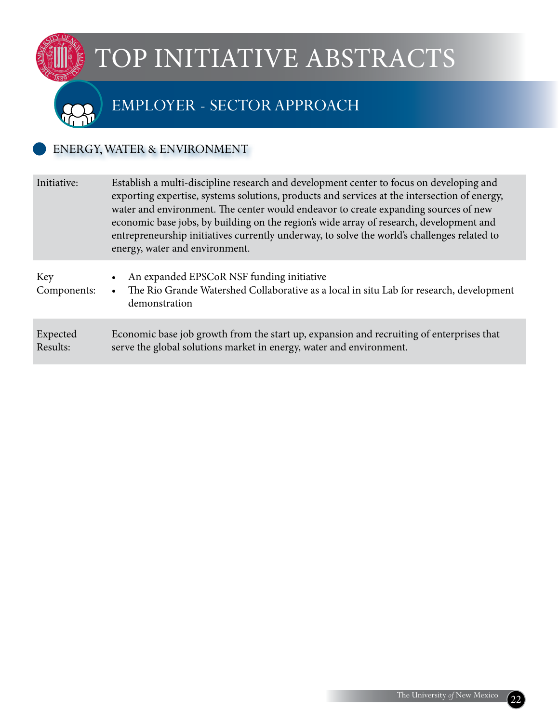### Employer - sector approach

#### ENERGY, WATER & ENVIRONMENT

| Initiative:          | Establish a multi-discipline research and development center to focus on developing and<br>exporting expertise, systems solutions, products and services at the intersection of energy,<br>water and environment. The center would endeavor to create expanding sources of new<br>economic base jobs, by building on the region's wide array of research, development and<br>entrepreneurship initiatives currently underway, to solve the world's challenges related to<br>energy, water and environment. |  |
|----------------------|------------------------------------------------------------------------------------------------------------------------------------------------------------------------------------------------------------------------------------------------------------------------------------------------------------------------------------------------------------------------------------------------------------------------------------------------------------------------------------------------------------|--|
| Key<br>Components:   | An expanded EPSCoR NSF funding initiative<br>$\bullet$<br>The Rio Grande Watershed Collaborative as a local in situ Lab for research, development<br>$\bullet$<br>demonstration                                                                                                                                                                                                                                                                                                                            |  |
| Expected<br>Results: | Economic base job growth from the start up, expansion and recruiting of enterprises that<br>serve the global solutions market in energy, water and environment.                                                                                                                                                                                                                                                                                                                                            |  |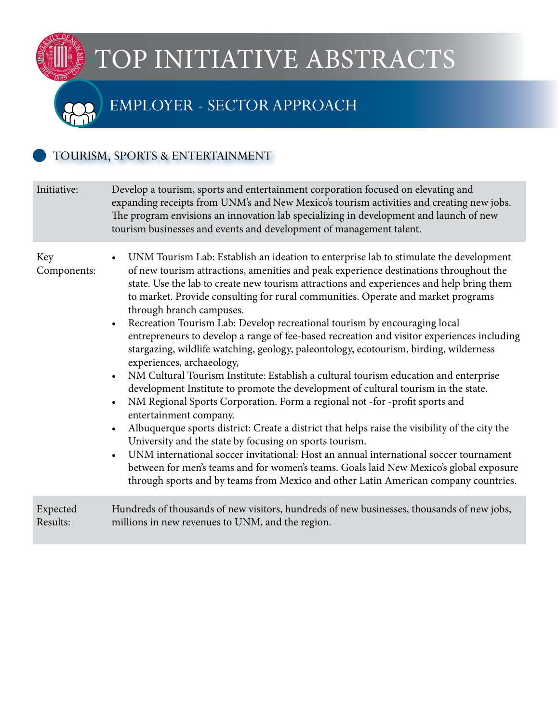### Employer - sector approach

#### TOURISM, SPORTS & ENTERTAINMENT

 $\mathbb{E}$ 

| Initiative:          | Develop a tourism, sports and entertainment corporation focused on elevating and<br>expanding receipts from UNM's and New Mexico's tourism activities and creating new jobs.<br>The program envisions an innovation lab specializing in development and launch of new<br>tourism businesses and events and development of management talent.                                                                                                                                                                                                                                                                                                                                                                                                                                                                                                                                                                                                                                                                                                                                                                                                                                                                                                                                                                                                                                                                                                                                               |  |
|----------------------|--------------------------------------------------------------------------------------------------------------------------------------------------------------------------------------------------------------------------------------------------------------------------------------------------------------------------------------------------------------------------------------------------------------------------------------------------------------------------------------------------------------------------------------------------------------------------------------------------------------------------------------------------------------------------------------------------------------------------------------------------------------------------------------------------------------------------------------------------------------------------------------------------------------------------------------------------------------------------------------------------------------------------------------------------------------------------------------------------------------------------------------------------------------------------------------------------------------------------------------------------------------------------------------------------------------------------------------------------------------------------------------------------------------------------------------------------------------------------------------------|--|
| Key<br>Components:   | UNM Tourism Lab: Establish an ideation to enterprise lab to stimulate the development<br>of new tourism attractions, amenities and peak experience destinations throughout the<br>state. Use the lab to create new tourism attractions and experiences and help bring them<br>to market. Provide consulting for rural communities. Operate and market programs<br>through branch campuses.<br>Recreation Tourism Lab: Develop recreational tourism by encouraging local<br>$\bullet$<br>entrepreneurs to develop a range of fee-based recreation and visitor experiences including<br>stargazing, wildlife watching, geology, paleontology, ecotourism, birding, wilderness<br>experiences, archaeology,<br>NM Cultural Tourism Institute: Establish a cultural tourism education and enterprise<br>$\bullet$<br>development Institute to promote the development of cultural tourism in the state.<br>NM Regional Sports Corporation. Form a regional not -for -profit sports and<br>$\bullet$<br>entertainment company.<br>Albuquerque sports district: Create a district that helps raise the visibility of the city the<br>$\bullet$<br>University and the state by focusing on sports tourism.<br>UNM international soccer invitational: Host an annual international soccer tournament<br>$\bullet$<br>between for men's teams and for women's teams. Goals laid New Mexico's global exposure<br>through sports and by teams from Mexico and other Latin American company countries. |  |
| Expected<br>Results: | Hundreds of thousands of new visitors, hundreds of new businesses, thousands of new jobs,<br>millions in new revenues to UNM, and the region.                                                                                                                                                                                                                                                                                                                                                                                                                                                                                                                                                                                                                                                                                                                                                                                                                                                                                                                                                                                                                                                                                                                                                                                                                                                                                                                                              |  |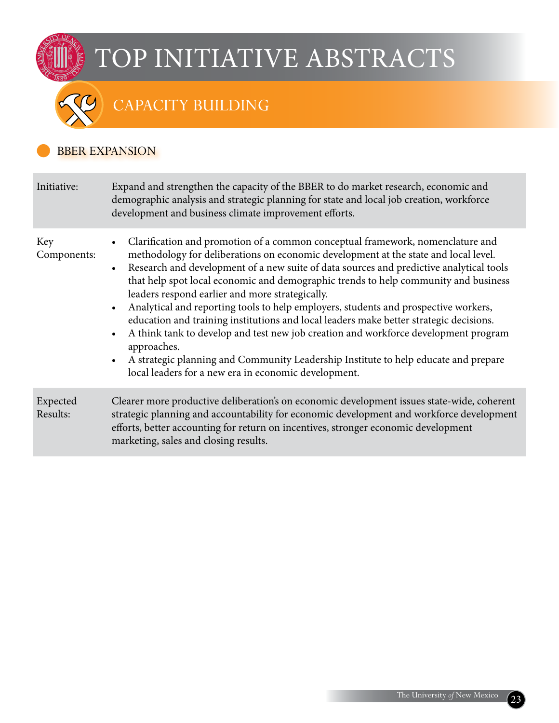

### CAPACITY BUILDING

#### BBER EXPANSION

| Initiative:          | Expand and strengthen the capacity of the BBER to do market research, economic and<br>demographic analysis and strategic planning for state and local job creation, workforce<br>development and business climate improvement efforts.                                                                                                                                                                                                                                                                                                                                                                                                                                                                                                                                                                                                                                                  |  |
|----------------------|-----------------------------------------------------------------------------------------------------------------------------------------------------------------------------------------------------------------------------------------------------------------------------------------------------------------------------------------------------------------------------------------------------------------------------------------------------------------------------------------------------------------------------------------------------------------------------------------------------------------------------------------------------------------------------------------------------------------------------------------------------------------------------------------------------------------------------------------------------------------------------------------|--|
| Key<br>Components:   | Clarification and promotion of a common conceptual framework, nomenclature and<br>methodology for deliberations on economic development at the state and local level.<br>Research and development of a new suite of data sources and predictive analytical tools<br>$\bullet$<br>that help spot local economic and demographic trends to help community and business<br>leaders respond earlier and more strategically.<br>Analytical and reporting tools to help employers, students and prospective workers,<br>$\bullet$<br>education and training institutions and local leaders make better strategic decisions.<br>A think tank to develop and test new job creation and workforce development program<br>$\bullet$<br>approaches.<br>A strategic planning and Community Leadership Institute to help educate and prepare<br>local leaders for a new era in economic development. |  |
| Expected<br>Results: | Clearer more productive deliberation's on economic development issues state-wide, coherent<br>strategic planning and accountability for economic development and workforce development<br>efforts, better accounting for return on incentives, stronger economic development<br>marketing, sales and closing results.                                                                                                                                                                                                                                                                                                                                                                                                                                                                                                                                                                   |  |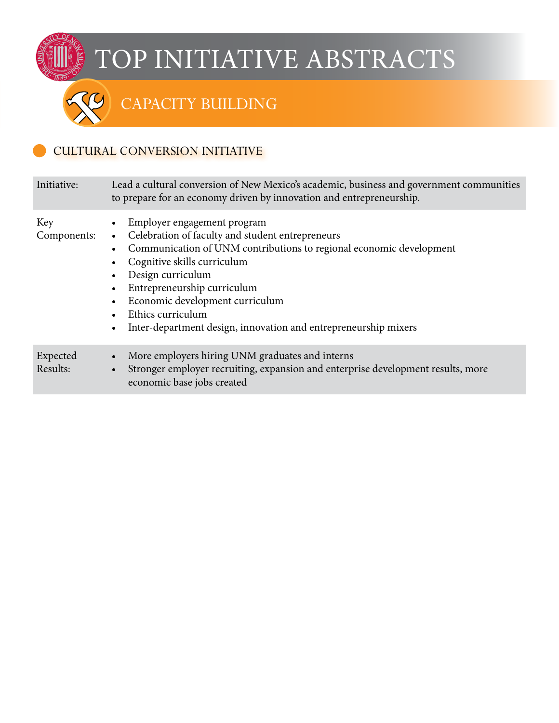### CAPACITY BUILDING

#### CULTURAL CONVERSION INITIATIVE

| Initiative:          | Lead a cultural conversion of New Mexico's academic, business and government communities<br>to prepare for an economy driven by innovation and entrepreneurship.                                                                                                                                                                                                     |  |
|----------------------|----------------------------------------------------------------------------------------------------------------------------------------------------------------------------------------------------------------------------------------------------------------------------------------------------------------------------------------------------------------------|--|
| Key<br>Components:   | Employer engagement program<br>Celebration of faculty and student entrepreneurs<br>Communication of UNM contributions to regional economic development<br>Cognitive skills curriculum<br>Design curriculum<br>Entrepreneurship curriculum<br>Economic development curriculum<br>Ethics curriculum<br>Inter-department design, innovation and entrepreneurship mixers |  |
| Expected<br>Results: | More employers hiring UNM graduates and interns<br>$\bullet$<br>Stronger employer recruiting, expansion and enterprise development results, more<br>economic base jobs created                                                                                                                                                                                       |  |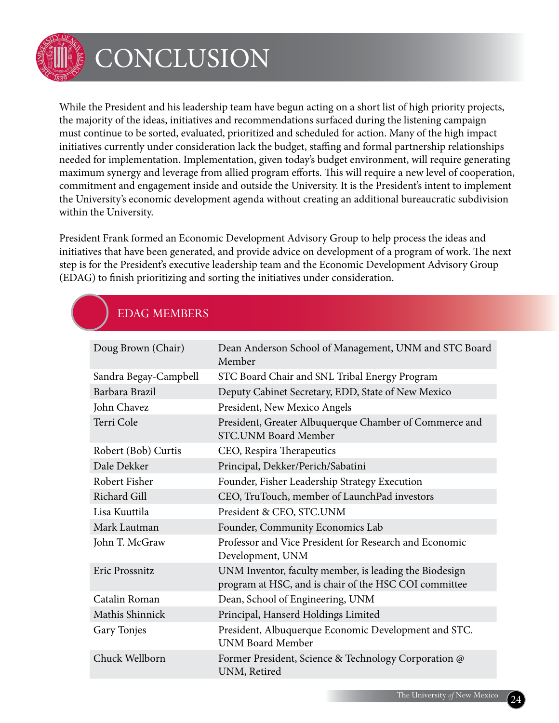

## **CONCLUSION**

While the President and his leadership team have begun acting on a short list of high priority projects, the majority of the ideas, initiatives and recommendations surfaced during the listening campaign must continue to be sorted, evaluated, prioritized and scheduled for action. Many of the high impact initiatives currently under consideration lack the budget, staffing and formal partnership relationships needed for implementation. Implementation, given today's budget environment, will require generating maximum synergy and leverage from allied program efforts. This will require a new level of cooperation, commitment and engagement inside and outside the University. It is the President's intent to implement the University's economic development agenda without creating an additional bureaucratic subdivision within the University.

President Frank formed an Economic Development Advisory Group to help process the ideas and initiatives that have been generated, and provide advice on development of a program of work. The next step is for the President's executive leadership team and the Economic Development Advisory Group (EDAG) to finish prioritizing and sorting the initiatives under consideration.

### EDAG Members

| Doug Brown (Chair)    | Dean Anderson School of Management, UNM and STC Board<br>Member                                                 |
|-----------------------|-----------------------------------------------------------------------------------------------------------------|
| Sandra Begay-Campbell | STC Board Chair and SNL Tribal Energy Program                                                                   |
| Barbara Brazil        | Deputy Cabinet Secretary, EDD, State of New Mexico                                                              |
| John Chavez           | President, New Mexico Angels                                                                                    |
| Terri Cole            | President, Greater Albuquerque Chamber of Commerce and<br><b>STC.UNM Board Member</b>                           |
| Robert (Bob) Curtis   | CEO, Respira Therapeutics                                                                                       |
| Dale Dekker           | Principal, Dekker/Perich/Sabatini                                                                               |
| Robert Fisher         | Founder, Fisher Leadership Strategy Execution                                                                   |
| <b>Richard Gill</b>   | CEO, TruTouch, member of LaunchPad investors                                                                    |
| Lisa Kuuttila         | President & CEO, STC.UNM                                                                                        |
| Mark Lautman          | Founder, Community Economics Lab                                                                                |
| John T. McGraw        | Professor and Vice President for Research and Economic<br>Development, UNM                                      |
| Eric Prossnitz        | UNM Inventor, faculty member, is leading the Biodesign<br>program at HSC, and is chair of the HSC COI committee |
| Catalin Roman         | Dean, School of Engineering, UNM                                                                                |
| Mathis Shinnick       | Principal, Hanserd Holdings Limited                                                                             |
| Gary Tonjes           | President, Albuquerque Economic Development and STC.<br><b>UNM Board Member</b>                                 |
| Chuck Wellborn        | Former President, Science & Technology Corporation @<br>UNM, Retired                                            |